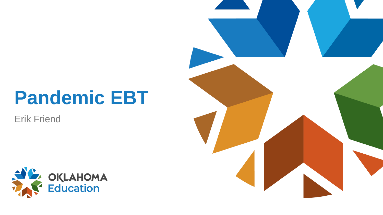## **Pandemic EBT**

Erik Friend



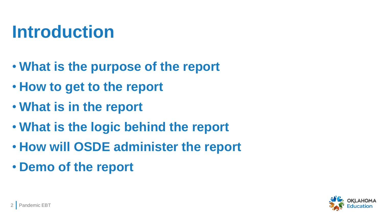#### **Introduction**

- **What is the purpose of the report**
- **How to get to the report**
- **What is in the report**
- **What is the logic behind the report**
- **How will OSDE administer the report**
- **Demo of the report**

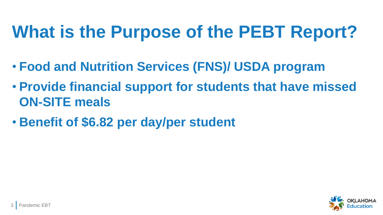## **What is the Purpose of the PEBT Report?**

- **Food and Nutrition Services (FNS)/ USDA program**
- **Provide financial support for students that have missed ON-SITE meals**
- **Benefit of \$6.82 per day/per student**

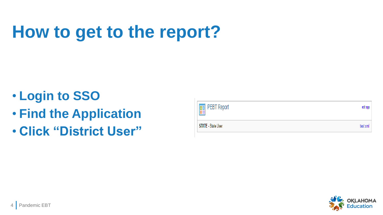# **How to get to the report?**

- **Login to SSO**
- **Find the Application**
- **Click "District User"**



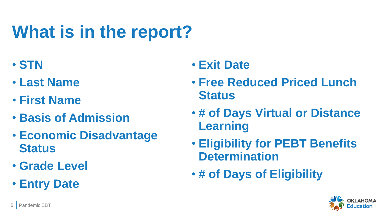# **What is in the report?**

- **STN**
- **Last Name**
- **First Name**
- **Basis of Admission**
- **Economic Disadvantage Status**
- **Grade Level**
- **Entry Date**

#### • **Exit Date**

- **Free Reduced Priced Lunch Status**
- **# of Days Virtual or Distance Learning**
- **Eligibility for PEBT Benefits Determination**
- **# of Days of Eligibility**

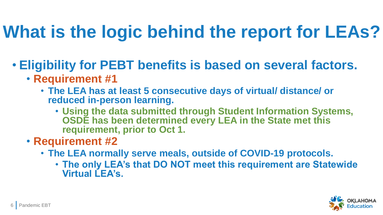## **What is the logic behind the report for LEAs?**

- **Eligibility for PEBT benefits is based on several factors.**
	- **Requirement #1**
		- **The LEA has at least 5 consecutive days of virtual/ distance/ or reduced in-person learning.**
			- **Using the data submitted through Student Information Systems, OSDE has been determined every LEA in the State met this requirement, prior to Oct 1.**
	- **Requirement #2**
		- **The LEA normally serve meals, outside of COVID-19 protocols.**
			- **The only LEA's that DO NOT meet this requirement are Statewide Virtual LEA's.**

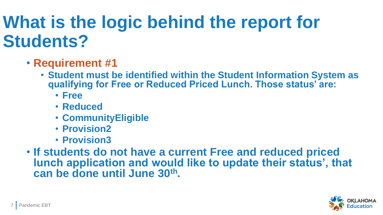### **What is the logic behind the report for Students?**

- **Requirement #1**
	- **Student must be identified within the Student Information System as qualifying for Free or Reduced Priced Lunch. Those status' are:**
		- **Free**
		- **Reduced**
		- **CommunityEligible**
		- **Provision2**
		- **Provision3**
- **If students do not have a current Free and reduced priced lunch application and would like to update their status', that can be done until June 30th.**

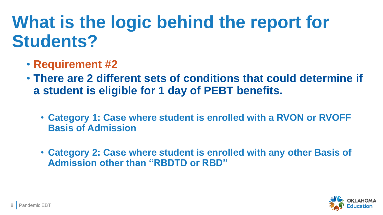#### **What is the logic behind the report for Students?**

- **Requirement #2**
- **There are 2 different sets of conditions that could determine if a student is eligible for 1 day of PEBT benefits.**
	- **Category 1: Case where student is enrolled with a RVON or RVOFF Basis of Admission**
	- **Category 2: Case where student is enrolled with any other Basis of Admission other than "RBDTD or RBD"**

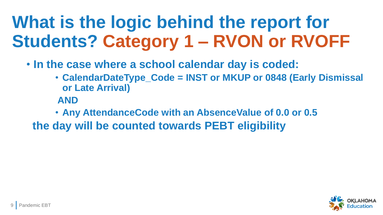## **What is the logic behind the report for Students? Category 1 – RVON or RVOFF**

- **In the case where a school calendar day is coded:**
	- **CalendarDateType\_Code = INST or MKUP or 0848 (Early Dismissal or Late Arrival)**
	- **AND**

• **Any AttendanceCode with an AbsenceValue of 0.0 or 0.5 the day will be counted towards PEBT eligibility**

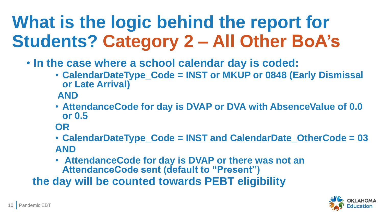## **What is the logic behind the report for Students? Category 2 – All Other BoA's**

- **In the case where a school calendar day is coded:**
	- **CalendarDateType\_Code = INST or MKUP or 0848 (Early Dismissal or Late Arrival)**

**AND**

- **AttendanceCode for day is DVAP or DVA with AbsenceValue of 0.0 or 0.5**
- **OR**
- **CalendarDateType\_Code = INST and CalendarDate\_OtherCode = 03 AND**
- **AttendanceCode for day is DVAP or there was not an AttendanceCode sent (default to "Present")**

**the day will be counted towards PEBT eligibility**

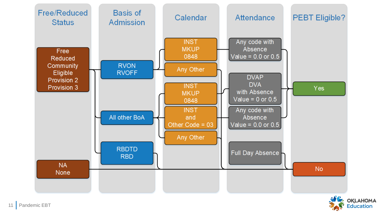

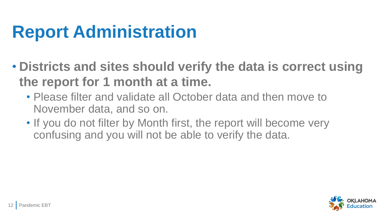## **Report Administration**

- **Districts and sites should verify the data is correct using the report for 1 month at a time.**
	- Please filter and validate all October data and then move to November data, and so on.
	- If you do not filter by Month first, the report will become very confusing and you will not be able to verify the data.

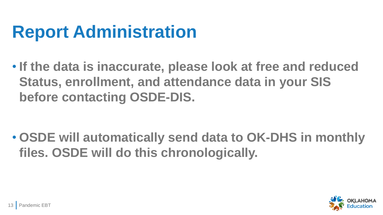### **Report Administration**

• **If the data is inaccurate, please look at free and reduced Status, enrollment, and attendance data in your SIS before contacting OSDE-DIS.**

• **OSDE will automatically send data to OK-DHS in monthly files. OSDE will do this chronologically.** 

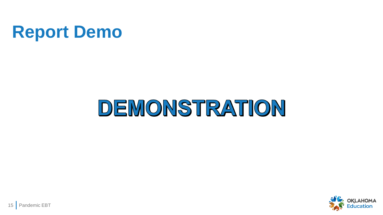#### **Report Demo**

# DEMONSTRATION